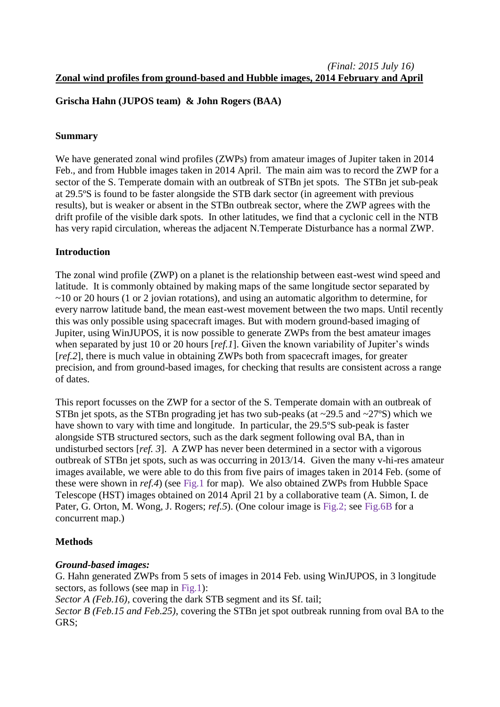# **Grischa Hahn (JUPOS team) & John Rogers (BAA)**

### **Summary**

We have generated zonal wind profiles (ZWPs) from amateur images of Jupiter taken in 2014 Feb., and from Hubble images taken in 2014 April. The main aim was to record the ZWP for a sector of the S. Temperate domain with an outbreak of STBn jet spots. The STBn jet sub-peak at 29.5ºS is found to be faster alongside the STB dark sector (in agreement with previous results), but is weaker or absent in the STBn outbreak sector, where the ZWP agrees with the drift profile of the visible dark spots. In other latitudes, we find that a cyclonic cell in the NTB has very rapid circulation, whereas the adjacent N.Temperate Disturbance has a normal ZWP.

#### **Introduction**

The zonal wind profile (ZWP) on a planet is the relationship between east-west wind speed and latitude. It is commonly obtained by making maps of the same longitude sector separated by ~10 or 20 hours (1 or 2 jovian rotations), and using an automatic algorithm to determine, for every narrow latitude band, the mean east-west movement between the two maps. Until recently this was only possible using spacecraft images. But with modern ground-based imaging of Jupiter, using WinJUPOS, it is now possible to generate ZWPs from the best amateur images when separated by just 10 or 20 hours [*ref.1*]. Given the known variability of Jupiter's winds [*ref.2*], there is much value in obtaining ZWPs both from spacecraft images, for greater precision, and from ground-based images, for checking that results are consistent across a range of dates.

This report focusses on the ZWP for a sector of the S. Temperate domain with an outbreak of STBn jet spots, as the STBn prograding jet has two sub-peaks (at  $\sim$ 29.5 and  $\sim$ 27°S) which we have shown to vary with time and longitude. In particular, the 29.5ºS sub-peak is faster alongside STB structured sectors, such as the dark segment following oval BA, than in undisturbed sectors [*ref. 3*]. A ZWP has never been determined in a sector with a vigorous outbreak of STBn jet spots, such as was occurring in 2013/14. Given the many v-hi-res amateur images available, we were able to do this from five pairs of images taken in 2014 Feb. (some of these were shown in *ref.4*) (see Fig.1 for map). We also obtained ZWPs from Hubble Space Telescope (HST) images obtained on 2014 April 21 by a collaborative team (A. Simon, I. de Pater, G. Orton, M. Wong, J. Rogers; *ref.5*). (One colour image is Fig.2; see Fig.6B for a concurrent map.)

## **Methods**

## *Ground-based images:*

G. Hahn generated ZWPs from 5 sets of images in 2014 Feb. using WinJUPOS, in 3 longitude sectors, as follows (see map in Fig.1):

*Sector A (Feb.16)*, covering the dark STB segment and its Sf. tail;

*Sector B (Feb.15 and Feb.25)*, covering the STBn jet spot outbreak running from oval BA to the GRS;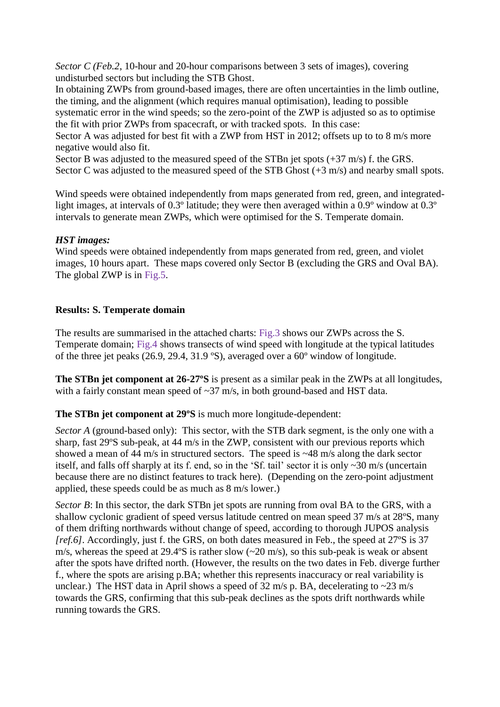*Sector C (Feb.2, 10-hour and 20-hour comparisons between 3 sets of images), covering* undisturbed sectors but including the STB Ghost.

In obtaining ZWPs from ground-based images, there are often uncertainties in the limb outline, the timing, and the alignment (which requires manual optimisation), leading to possible systematic error in the wind speeds; so the zero-point of the ZWP is adjusted so as to optimise the fit with prior ZWPs from spacecraft, or with tracked spots. In this case: Sector A was adjusted for best fit with a ZWP from HST in 2012; offsets up to to 8 m/s more

negative would also fit.

Sector B was adjusted to the measured speed of the STBn jet spots (+37 m/s) f. the GRS. Sector C was adjusted to the measured speed of the STB Ghost  $(+3 \text{ m/s})$  and nearby small spots.

Wind speeds were obtained independently from maps generated from red, green, and integratedlight images, at intervals of 0.3<sup>°</sup> latitude; they were then averaged within a 0.9<sup>°</sup> window at 0.3<sup>°</sup> intervals to generate mean ZWPs, which were optimised for the S. Temperate domain.

## *HST images:*

Wind speeds were obtained independently from maps generated from red, green, and violet images, 10 hours apart. These maps covered only Sector B (excluding the GRS and Oval BA). The global ZWP is in Fig.5.

# **Results: S. Temperate domain**

The results are summarised in the attached charts: Fig.3 shows our ZWPs across the S. Temperate domain; Fig.4 shows transects of wind speed with longitude at the typical latitudes of the three jet peaks (26.9, 29.4, 31.9 ºS), averaged over a 60º window of longitude.

**The STBn jet component at 26-27ºS** is present as a similar peak in the ZWPs at all longitudes, with a fairly constant mean speed of  $\sim$ 37 m/s, in both ground-based and HST data.

## **The STBn jet component at 29ºS** is much more longitude-dependent:

*Sector A* (ground-based only): This sector, with the STB dark segment, is the only one with a sharp, fast 29ºS sub-peak, at 44 m/s in the ZWP, consistent with our previous reports which showed a mean of 44 m/s in structured sectors. The speed is ~48 m/s along the dark sector itself, and falls off sharply at its f. end, so in the 'Sf. tail' sector it is only ~30 m/s (uncertain because there are no distinct features to track here). (Depending on the zero-point adjustment applied, these speeds could be as much as 8 m/s lower.)

*Sector B*: In this sector, the dark STBn jet spots are running from oval BA to the GRS, with a shallow cyclonic gradient of speed versus latitude centred on mean speed 37 m/s at 28ºS, many of them drifting northwards without change of speed, according to thorough JUPOS analysis *[ref.6]*. Accordingly, just f. the GRS, on both dates measured in Feb., the speed at 27<sup>o</sup>S is 37 m/s, whereas the speed at 29.4°S is rather slow  $(\sim 20 \text{ m/s})$ , so this sub-peak is weak or absent after the spots have drifted north. (However, the results on the two dates in Feb. diverge further f., where the spots are arising p.BA; whether this represents inaccuracy or real variability is unclear.) The HST data in April shows a speed of  $32 \text{ m/s}$  p. BA, decelerating to  $\sim 23 \text{ m/s}$ towards the GRS, confirming that this sub-peak declines as the spots drift northwards while running towards the GRS.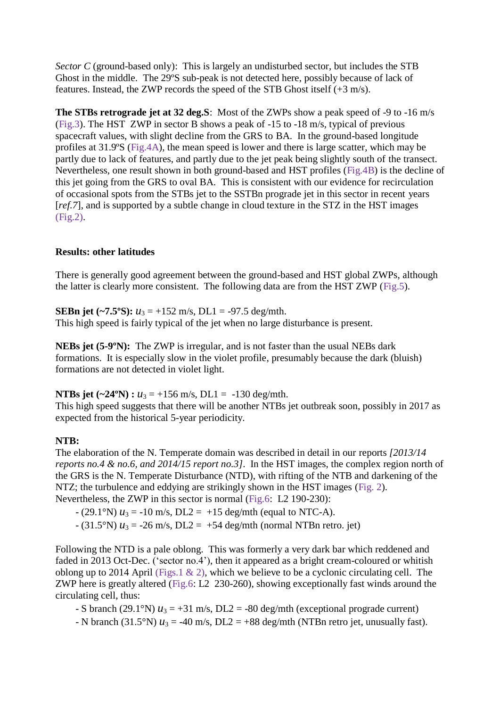*Sector C* (ground-based only): This is largely an undisturbed sector, but includes the STB Ghost in the middle. The 29ºS sub-peak is not detected here, possibly because of lack of features. Instead, the ZWP records the speed of the STB Ghost itself (+3 m/s).

**The STBs retrograde jet at 32 deg.S**: Most of the ZWPs show a peak speed of -9 to -16 m/s (Fig.3). The HST ZWP in sector B shows a peak of -15 to -18 m/s, typical of previous spacecraft values, with slight decline from the GRS to BA. In the ground-based longitude profiles at 31.9ºS (Fig.4A), the mean speed is lower and there is large scatter, which may be partly due to lack of features, and partly due to the jet peak being slightly south of the transect. Nevertheless, one result shown in both ground-based and HST profiles (Fig.4B) is the decline of this jet going from the GRS to oval BA. This is consistent with our evidence for recirculation of occasional spots from the STBs jet to the SSTBn prograde jet in this sector in recent years [ $ref.7$ ], and is supported by a subtle change in cloud texture in the STZ in the HST images (Fig.2).

## **Results: other latitudes**

There is generally good agreement between the ground-based and HST global ZWPs, although the latter is clearly more consistent. The following data are from the HST ZWP (Fig.5).

**SEBn jet (~7.5°S):**  $u_3 = +152$  m/s, DL1 = -97.5 deg/mth.

This high speed is fairly typical of the jet when no large disturbance is present.

**NEBs jet (5-9ºN):** The ZWP is irregular, and is not faster than the usual NEBs dark formations. It is especially slow in the violet profile, presumably because the dark (bluish) formations are not detected in violet light.

**NTBs jet (~24°N) :**  $u_3 = +156$  m/s, DL1 = -130 deg/mth.

This high speed suggests that there will be another NTBs jet outbreak soon, possibly in 2017 as expected from the historical 5-year periodicity.

#### **NTB:**

The elaboration of the N. Temperate domain was described in detail in our reports *[2013/14 reports no.4 & no.6, and 2014/15 report no.3]*. In the HST images, the complex region north of the GRS is the N. Temperate Disturbance (NTD), with rifting of the NTB and darkening of the NTZ; the turbulence and eddying are strikingly shown in the HST images (Fig. 2). Nevertheless, the ZWP in this sector is normal (Fig.6: L2 190-230):

 $(29.1°N) u_3 = -10$  m/s, DL2 =  $+15$  deg/mth (equal to NTC-A).

 $-(31.5°N) u_3 = -26$  m/s, DL2 =  $+54$  deg/mth (normal NTBn retro. jet)

Following the NTD is a pale oblong. This was formerly a very dark bar which reddened and faded in 2013 Oct-Dec. ('sector no.4'), then it appeared as a bright cream-coloured or whitish oblong up to 2014 April (Figs.1  $\&$  2), which we believe to be a cyclonic circulating cell. The ZWP here is greatly altered (Fig.6: L2 230-260), showing exceptionally fast winds around the circulating cell, thus:

- S branch (29.1°N)  $u_3 = +31$  m/s, DL2 = -80 deg/mth (exceptional prograde current)

 $-$  N branch (31.5°N)  $u_3 = -40$  m/s, DL2 =  $+88$  deg/mth (NTBn retro jet, unusually fast).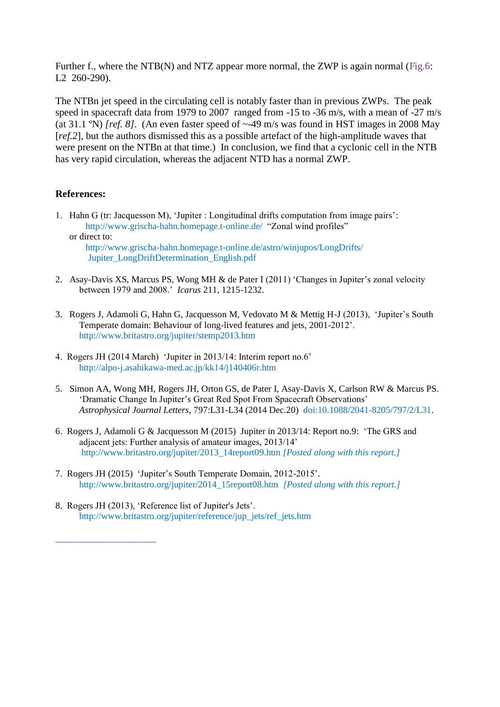Further f., where the NTB(N) and NTZ appear more normal, the ZWP is again normal (Fig.6: L<sub>2</sub> 260-290).

The NTBn jet speed in the circulating cell is notably faster than in previous ZWPs. The peak speed in spacecraft data from 1979 to 2007 ranged from -15 to -36 m/s, with a mean of -27 m/s (at 31.1 ºN) *[ref. 8]*. (An even faster speed of ~-49 m/s was found in HST images in 2008 May [*ref.2*], but the authors dismissed this as a possible artefact of the high-amplitude waves that were present on the NTBn at that time.) In conclusion, we find that a cyclonic cell in the NTB has very rapid circulation, whereas the adjacent NTD has a normal ZWP.

#### **References:**

1. Hahn G (tr: Jacquesson M), 'Jupiter : Longitudinal drifts computation from image pairs': http://www.grischa-hahn.homepage.t-online.de/ "Zonal wind profiles" or direct to:

http://www.grischa-hahn.homepage.t-online.de/astro/winjupos/LongDrifts/ Jupiter\_LongDriftDetermination\_English.pdf

- 2. Asay-Davis XS, Marcus PS, Wong MH & de Pater I (2011) 'Changes in Jupiter's zonal velocity between 1979 and 2008.' *Icarus* 211, 1215-1232.
- 3. Rogers J, Adamoli G, Hahn G, Jacquesson M, Vedovato M & Mettig H-J (2013), 'Jupiter's South Temperate domain: Behaviour of long-lived features and jets, 2001-2012'. http://www.britastro.org/jupiter/stemp2013.htm
- 4. Rogers JH (2014 March) 'Jupiter in 2013/14: Interim report no.6' http://alpo-j.asahikawa-med.ac.jp/kk14/j140406r.htm
- 5. Simon AA, Wong MH, Rogers JH, Orton GS, de Pater I, Asay-Davis X, Carlson RW & Marcus PS. 'Dramatic Change In Jupiter's Great Red Spot From Spacecraft Observations' *Astrophysical Journal Letters*, 797:L31-L34 (2014 Dec.20) doi:10.1088/2041-8205/797/2/L31.
- 6. Rogers J, Adamoli G & Jacquesson M (2015) Jupiter in 2013/14: Report no.9: 'The GRS and adjacent jets: Further analysis of amateur images, 2013/14' http://www.britastro.org/jupiter/2013\_14report09.htm *[Posted along with this report.]*
- 7. Rogers JH (2015) 'Jupiter's South Temperate Domain, 2012-2015'. http://www.britastro.org/jupiter/2014\_15report08.htm *[Posted along with this report.]*
- 8. Rogers JH (2013), 'Reference list of Jupiter's Jets'. http://www.britastro.org/jupiter/reference/jup\_jets/ref\_jets.htm

\_\_\_\_\_\_\_\_\_\_\_\_\_\_\_\_\_\_\_\_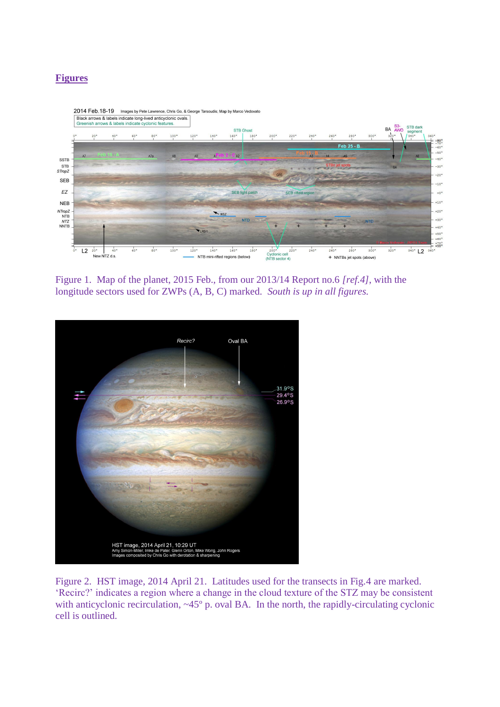# **Figures**



Figure 1. Map of the planet, 2015 Feb., from our 2013/14 Report no.6 *[ref.4]*, with the longitude sectors used for ZWPs (A, B, C) marked. *South is up in all figures.* 



Figure 2. HST image, 2014 April 21. Latitudes used for the transects in Fig.4 are marked. 'Recirc?' indicates a region where a change in the cloud texture of the STZ may be consistent with anticyclonic recirculation, ~45° p. oval BA. In the north, the rapidly-circulating cyclonic cell is outlined.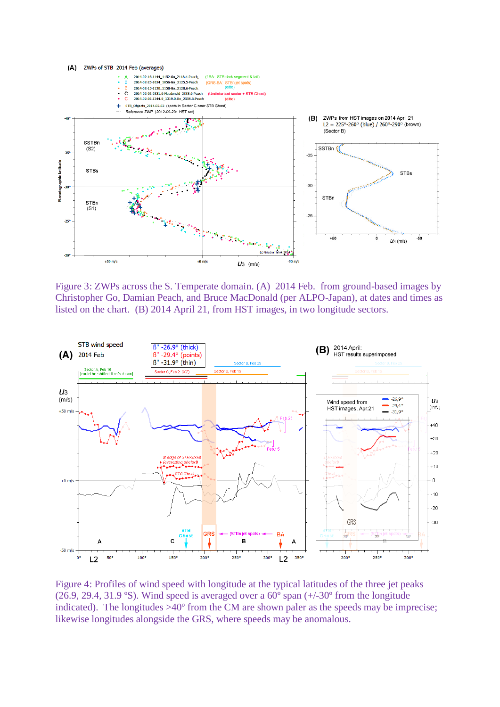

Figure 3: ZWPs across the S. Temperate domain. (A) 2014 Feb. from ground-based images by Christopher Go, Damian Peach, and Bruce MacDonald (per ALPO-Japan), at dates and times as listed on the chart. (B) 2014 April 21, from HST images, in two longitude sectors.



Figure 4: Profiles of wind speed with longitude at the typical latitudes of the three jet peaks (26.9, 29.4, 31.9 °S). Wind speed is averaged over a  $60^{\circ}$  span  $(+/-30^{\circ}$  from the longitude indicated). The longitudes >40º from the CM are shown paler as the speeds may be imprecise; likewise longitudes alongside the GRS, where speeds may be anomalous.